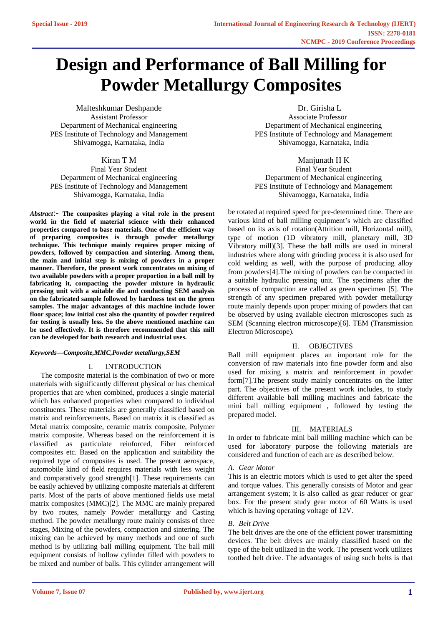# **Design and Performance of Ball Milling for Powder Metallurgy Composites**

Malteshkumar Deshpande Assistant Professor Department of Mechanical engineering PES Institute of Technology and Management Shivamogga, Karnataka, India

# Kiran T M

Final Year Student Department of Mechanical engineering PES Institute of Technology and Management Shivamogga, Karnataka, India

*Abstract*:- **The composites playing a vital role in the present world in the field of material science with their enhanced properties compared to base materials. One of the efficient way of preparing composites is through powder metallurgy technique. This technique mainly requires proper mixing of powders, followed by compaction and sintering. Among them, the main and initial step is mixing of powders in a proper manner. Therefore, the present work concentrates on mixing of two available powders with a proper proportion in a ball mill by fabricating it, compacting the powder mixture in hydraulic pressing unit with a suitable die and conducting SEM analysis on the fabricated sample followed by hardness test on the green samples. The major advantages of this machine include lower floor space; low initial cost also the quantity of powder required for testing is usually less. So the above mentioned machine can be used effectively. It is therefore recommended that this mill can be developed for both research and industrial uses.**

### *Keywords—Composite,MMC,Powder metallurgy,SEM*

#### I. INTRODUCTION

The composite material is the combination of two or more materials with significantly different physical or has chemical properties that are when combined, produces a single material which has enhanced properties when compared to individual constituents. These materials are generally classified based on matrix and reinforcements. Based on matrix it is classified as Metal matrix composite, ceramic matrix composite, Polymer matrix composite. Whereas based on the reinforcement it is classified as particulate reinforced, Fiber reinforced composites etc. Based on the application and suitability the required type of composites is used. The present aerospace, automobile kind of field requires materials with less weight and comparatively good strength[1]. These requirements can be easily achieved by utilizing composite materials at different parts. Most of the parts of above mentioned fields use metal matrix composites (MMC)[2]. The MMC are mainly prepared by two routes, namely Powder metallurgy and Casting method. The powder metallurgy route mainly consists of three stages, Mixing of the powders, compaction and sintering. The mixing can be achieved by many methods and one of such method is by utilizing ball milling equipment. The ball mill equipment consists of hollow cylinder filled with powders to be mixed and number of balls. This cylinder arrangement will

 Dr. Girisha L Associate Professor Department of Mechanical engineering PES Institute of Technology and Management Shivamogga, Karnataka, India

#### Manjunath H K

Final Year Student Department of Mechanical engineering PES Institute of Technology and Management Shivamogga, Karnataka, India

be rotated at required speed for pre-determined time. There are various kind of ball milling equipment's which are classified based on its axis of rotation(Attrition mill, Horizontal mill), type of motion (1D vibratory mill, planetary mill, 3D Vibratory mill)[3]. These the ball mills are used in mineral industries where along with grinding process it is also used for cold welding as well, with the purpose of producing alloy from powders[4].The mixing of powders can be compacted in a suitable hydraulic pressing unit. The specimens after the process of compaction are called as green specimen [5]. The strength of any specimen prepared with powder metallurgy route mainly depends upon proper mixing of powders that can be observed by using available electron microscopes such as SEM (Scanning electron microscope)[6]. TEM (Transmission Electron Microscope).

#### II. OBJECTIVES

Ball mill equipment places an important role for the conversion of raw materials into fine powder form and also used for mixing a matrix and reinforcement in powder form[7].The present study mainly concentrates on the latter part. The objectives of the present work includes, to study different available ball milling machines and fabricate the mini ball milling equipment , followed by testing the prepared model.

#### III. MATERIALS

In order to fabricate mini ball milling machine which can be used for laboratory purpose the following materials are considered and function of each are as described below.

#### *A. Gear Motor*

This is an electric motors which is used to get alter the speed and torque values. This generally consists of Motor and gear arrangement system; it is also called as gear reducer or gear box. For the present study gear motor of 60 Watts is used which is having operating voltage of 12V.

## *B. Belt Drive*

The belt drives are the one of the efficient power transmitting devices. The belt drives are mainly classified based on the type of the belt utilized in the work. The present work utilizes toothed belt drive. The advantages of using such belts is that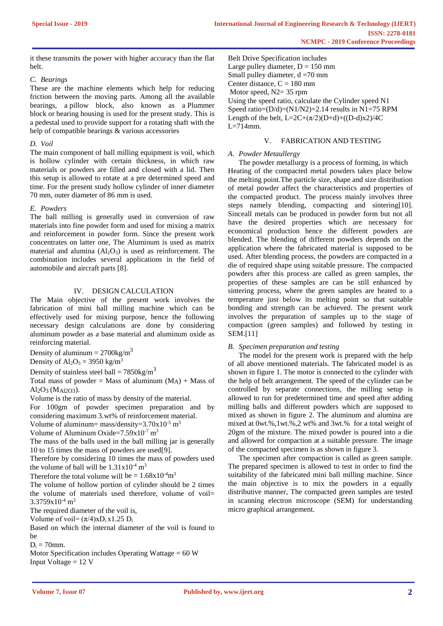it these transmits the power with higher accuracy than the flat belt.

# *C. Bearings*

These are the machine elements which help for reducing friction between the moving parts. Among all the available bearings, a pillow block, also known as a Plummer block or bearing housing is used for the present study. This is a pedestal used to provide support for a rotating shaft with the help of compatible bearings & various accessories

# *D. Voil*

The main component of ball milling equipment is voil, which is hollow cylinder with certain thickness, in which raw materials or powders are filled and closed with a lid. Then this setup is allowed to rotate at a pre determined speed and time. For the present study hollow cylinder of inner diameter 70 mm, outer diameter of 86 mm is used.

# *E. Powders*

The ball milling is generally used in conversion of raw materials into fine powder form and used for mixing a matrix and reinforcement in powder form. Since the present work concentrates on latter one, The Aluminum is used as matrix material and alumina  $(A<sub>12</sub>O<sub>3</sub>)$  is used as reinforcement. The combination includes several applications in the field of automobile and aircraft parts [8].

# IV. DESIGN CALCULATION

The Main objective of the present work involves the fabrication of mini ball milling machine which can be effectively used for mixing purpose, hence the following necessary design calculations are done by considering aluminum powder as a base material and aluminum oxide as reinforcing material.

Density of aluminum =  $2700\text{kg/m}^3$ 

Density of  $Al_2O_3 = 3950$  kg/m<sup>3</sup>

Density of stainless steel ball =  $7850 \text{kg/m}^3$ 

Total mass of powder = Mass of aluminum  $(M_A)$  + Mass of Al2O3 (MAl2O3).

Volume is the ratio of mass by density of the material.

For 100gm of powder specimen preparation and by considering maximum 3.wt% of reinforcement material.

Volume of aluminum= mass/density= $3.70x10^{-5}$  m<sup>3</sup>

Volume of Aluminum Oxide= $7.59x10^{-7}$  m<sup>3</sup>

The mass of the balls used in the ball milling jar is generally 10 to 15 times the mass of powders are used[9].

Therefore by considering 10 times the mass of powders used the volume of ball will be  $1.31x10^{-4}$  m<sup>3</sup>

Therefore the total volume will be =  $1.68 \times 10^{-4}$ m<sup>3</sup>

The volume of hollow portion of cylinder should be 2 times the volume of materials used therefore, volume of voil= 3.3759x10-4 m<sup>3</sup>

The required diameter of the voil is,

Volume of voil=  $(\pi/4) \times D_i \times 1.25 D_i$ 

Based on which the internal diameter of the voil is found to be

 $D_i = 70$ mm.

Motor Specification includes Operating Wattage = 60 W Input Voltage  $= 12$  V

Belt Drive Specification includes Large pulley diameter,  $D = 150$  mm Small pulley diameter,  $d = 70$  mm Center distance,  $C = 180$  mm Motor speed, N2= 35 rpm Using the speed ratio, calculate the Cylinder speed N1 Speed ratio= $(D/d)$ = $(N1/N2)$ =2.14 results in N1=75 RPM Length of the belt,  $L=2C+(\pi/2)(D+d)+((D-d)x^2)/4C$  $L=714$ mm.

# V. FABRICATION AND TESTING

# *A. Powder Metaullergy*

The powder metallurgy is a process of forming, in which Heating of the compacted metal powders takes place below the melting point.The particle size, shape and size distribution of metal powder affect the characteristics and properties of the compacted product. The process mainly involves three steps namely blending, compacting and sintering[10]. Sinceall metals can be produced in powder form but not all have the desired properties which are necessary for economical production hence the different powders are blended. The blending of different powders depends on the application where the fabricated material is supposed to be used. After blending process, the powders are compacted in a die of required shape using suitable pressure. The compacted powders after this process are called as green samples, the properties of these samples are can be still enhanced by sintering process, where the green samples are heated to a temperature just below its melting point so that suitable bonding and strength can be achieved. The present work involves the preparation of samples up to the stage of compaction (green samples) and followed by testing in SEM.[11]

# *B. Specimen preparation and testing*

The model for the present work is prepared with the help of all above mentioned materials. The fabricated model is as shown in figure 1. The motor is connected to the cylinder with the help of belt arrangement. The speed of the cylinder can be controlled by separate connections, the milling setup is allowed to run for predetermined time and speed after adding milling balls and different powders which are supposed to mixed as shown in figure 2. The aluminum and alumina are mixed at 0wt.%,1wt.%,2 wt% and 3wt.% for a total weight of 20gm of the mixture. The mixed powder is poured into a die and allowed for compaction at a suitable pressure. The image of the compacted specimen is as shown in figure 3.

The specimen after compaction is called as green sample. The prepared specimen is allowed to test in order to find the suitability of the fabricated mini ball milling machine. Since the main objective is to mix the powders in a equally distributive manner, The compacted green samples are tested in scanning electron microscope (SEM) for understanding micro graphical arrangement.